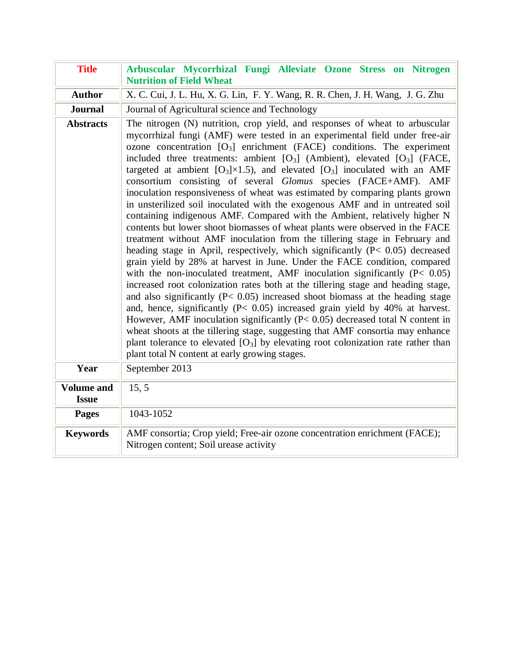| <b>Title</b>                      | Arbuscular Mycorrhizal Fungi Alleviate Ozone Stress on Nitrogen<br><b>Nutrition of Field Wheat</b>                                                                                                                                                                                                                                                                                                                                                                                                                                                                                                                                                                                                                                                                                                                                                                                                                                                                                                                                                                                                                                                                                                                                                                                                                                                                                                                                                                                                                                                                                                                                                                                                                                             |
|-----------------------------------|------------------------------------------------------------------------------------------------------------------------------------------------------------------------------------------------------------------------------------------------------------------------------------------------------------------------------------------------------------------------------------------------------------------------------------------------------------------------------------------------------------------------------------------------------------------------------------------------------------------------------------------------------------------------------------------------------------------------------------------------------------------------------------------------------------------------------------------------------------------------------------------------------------------------------------------------------------------------------------------------------------------------------------------------------------------------------------------------------------------------------------------------------------------------------------------------------------------------------------------------------------------------------------------------------------------------------------------------------------------------------------------------------------------------------------------------------------------------------------------------------------------------------------------------------------------------------------------------------------------------------------------------------------------------------------------------------------------------------------------------|
| <b>Author</b>                     | X. C. Cui, J. L. Hu, X. G. Lin, F. Y. Wang, R. R. Chen, J. H. Wang, J. G. Zhu                                                                                                                                                                                                                                                                                                                                                                                                                                                                                                                                                                                                                                                                                                                                                                                                                                                                                                                                                                                                                                                                                                                                                                                                                                                                                                                                                                                                                                                                                                                                                                                                                                                                  |
| <b>Journal</b>                    | Journal of Agricultural science and Technology                                                                                                                                                                                                                                                                                                                                                                                                                                                                                                                                                                                                                                                                                                                                                                                                                                                                                                                                                                                                                                                                                                                                                                                                                                                                                                                                                                                                                                                                                                                                                                                                                                                                                                 |
| <b>Abstracts</b>                  | The nitrogen (N) nutrition, crop yield, and responses of wheat to arbuscular<br>mycorrhizal fungi (AMF) were tested in an experimental field under free-air<br>ozone concentration $[O_3]$ enrichment (FACE) conditions. The experiment<br>included three treatments: ambient $[O_3]$ (Ambient), elevated $[O_3]$ (FACE,<br>targeted at ambient [O <sub>3</sub> ] $\times$ 1.5), and elevated [O <sub>3</sub> ] inoculated with an AMF<br>consortium consisting of several Glomus species (FACE+AMF). AMF<br>inoculation responsiveness of wheat was estimated by comparing plants grown<br>in unsterilized soil inoculated with the exogenous AMF and in untreated soil<br>containing indigenous AMF. Compared with the Ambient, relatively higher N<br>contents but lower shoot biomasses of wheat plants were observed in the FACE<br>treatment without AMF inoculation from the tillering stage in February and<br>heading stage in April, respectively, which significantly $(P < 0.05)$ decreased<br>grain yield by 28% at harvest in June. Under the FACE condition, compared<br>with the non-inoculated treatment, AMF inoculation significantly $(P< 0.05)$<br>increased root colonization rates both at the tillering stage and heading stage,<br>and also significantly $(P< 0.05)$ increased shoot biomass at the heading stage<br>and, hence, significantly ( $P < 0.05$ ) increased grain yield by 40% at harvest.<br>However, AMF inoculation significantly $(P< 0.05)$ decreased total N content in<br>wheat shoots at the tillering stage, suggesting that AMF consortia may enhance<br>plant tolerance to elevated $[O_3]$ by elevating root colonization rate rather than<br>plant total N content at early growing stages. |
| Year                              | September 2013                                                                                                                                                                                                                                                                                                                                                                                                                                                                                                                                                                                                                                                                                                                                                                                                                                                                                                                                                                                                                                                                                                                                                                                                                                                                                                                                                                                                                                                                                                                                                                                                                                                                                                                                 |
| <b>Volume and</b><br><b>Issue</b> | 15, 5                                                                                                                                                                                                                                                                                                                                                                                                                                                                                                                                                                                                                                                                                                                                                                                                                                                                                                                                                                                                                                                                                                                                                                                                                                                                                                                                                                                                                                                                                                                                                                                                                                                                                                                                          |
| <b>Pages</b>                      | 1043-1052                                                                                                                                                                                                                                                                                                                                                                                                                                                                                                                                                                                                                                                                                                                                                                                                                                                                                                                                                                                                                                                                                                                                                                                                                                                                                                                                                                                                                                                                                                                                                                                                                                                                                                                                      |
| <b>Keywords</b>                   | AMF consortia; Crop yield; Free-air ozone concentration enrichment (FACE);<br>Nitrogen content; Soil urease activity                                                                                                                                                                                                                                                                                                                                                                                                                                                                                                                                                                                                                                                                                                                                                                                                                                                                                                                                                                                                                                                                                                                                                                                                                                                                                                                                                                                                                                                                                                                                                                                                                           |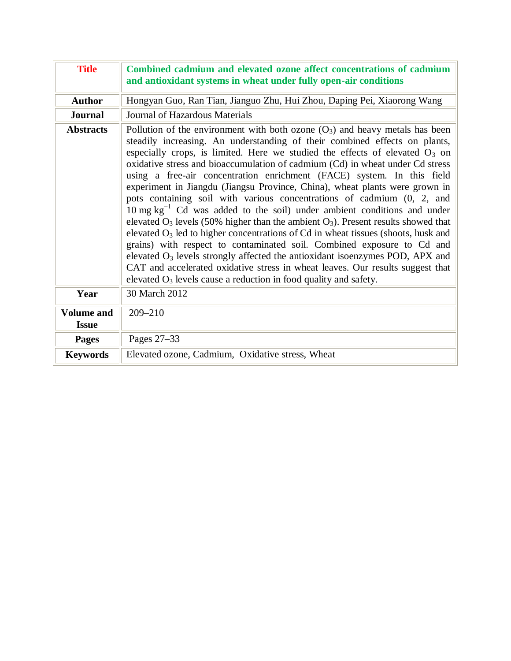| <b>Title</b>                      | Combined cadmium and elevated ozone affect concentrations of cadmium<br>and antioxidant systems in wheat under fully open-air conditions                                                                                                                                                                                                                                                                                                                                                                                                                                                                                                                                                                                                                                                                                                                                                                                                                                                                                                                                                                                                                            |
|-----------------------------------|---------------------------------------------------------------------------------------------------------------------------------------------------------------------------------------------------------------------------------------------------------------------------------------------------------------------------------------------------------------------------------------------------------------------------------------------------------------------------------------------------------------------------------------------------------------------------------------------------------------------------------------------------------------------------------------------------------------------------------------------------------------------------------------------------------------------------------------------------------------------------------------------------------------------------------------------------------------------------------------------------------------------------------------------------------------------------------------------------------------------------------------------------------------------|
| <b>Author</b>                     | Hongyan Guo, Ran Tian, Jianguo Zhu, Hui Zhou, Daping Pei, Xiaorong Wang                                                                                                                                                                                                                                                                                                                                                                                                                                                                                                                                                                                                                                                                                                                                                                                                                                                                                                                                                                                                                                                                                             |
| <b>Journal</b>                    | Journal of Hazardous Materials                                                                                                                                                                                                                                                                                                                                                                                                                                                                                                                                                                                                                                                                                                                                                                                                                                                                                                                                                                                                                                                                                                                                      |
| <b>Abstracts</b>                  | Pollution of the environment with both ozone $(O_3)$ and heavy metals has been<br>steadily increasing. An understanding of their combined effects on plants,<br>especially crops, is limited. Here we studied the effects of elevated $O_3$ on<br>oxidative stress and bioaccumulation of cadmium (Cd) in wheat under Cd stress<br>using a free-air concentration enrichment (FACE) system. In this field<br>experiment in Jiangdu (Jiangsu Province, China), wheat plants were grown in<br>pots containing soil with various concentrations of cadmium (0, 2, and<br>$10 \text{ mg kg}^{-1}$ Cd was added to the soil) under ambient conditions and under<br>elevated $O_3$ levels (50% higher than the ambient $O_3$ ). Present results showed that<br>elevated $O_3$ led to higher concentrations of Cd in wheat tissues (shoots, husk and<br>grains) with respect to contaminated soil. Combined exposure to Cd and<br>elevated $O_3$ levels strongly affected the antioxidant isoenzymes POD, APX and<br>CAT and accelerated oxidative stress in wheat leaves. Our results suggest that<br>elevated $O_3$ levels cause a reduction in food quality and safety. |
| Year                              | 30 March 2012                                                                                                                                                                                                                                                                                                                                                                                                                                                                                                                                                                                                                                                                                                                                                                                                                                                                                                                                                                                                                                                                                                                                                       |
| <b>Volume and</b><br><b>Issue</b> | $209 - 210$                                                                                                                                                                                                                                                                                                                                                                                                                                                                                                                                                                                                                                                                                                                                                                                                                                                                                                                                                                                                                                                                                                                                                         |
| <b>Pages</b>                      | Pages 27-33                                                                                                                                                                                                                                                                                                                                                                                                                                                                                                                                                                                                                                                                                                                                                                                                                                                                                                                                                                                                                                                                                                                                                         |
| <b>Keywords</b>                   | Elevated ozone, Cadmium, Oxidative stress, Wheat                                                                                                                                                                                                                                                                                                                                                                                                                                                                                                                                                                                                                                                                                                                                                                                                                                                                                                                                                                                                                                                                                                                    |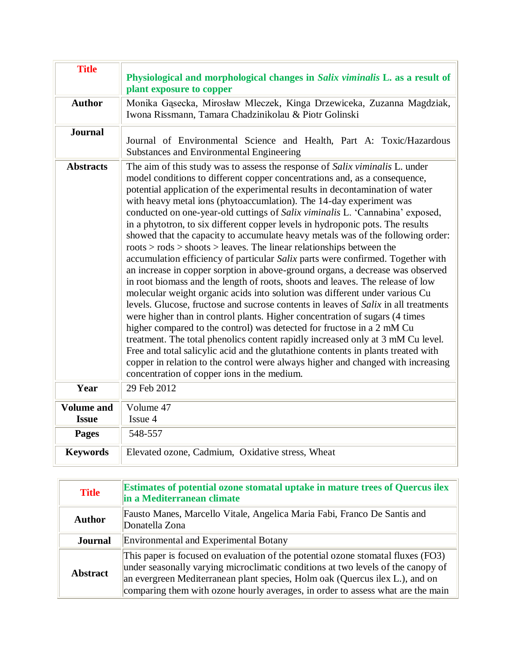| <b>Title</b>                      | Physiological and morphological changes in Salix viminalis L. as a result of<br>plant exposure to copper                                                                                                                                                                                                                                                                                                                                                                                                                                                                                                                                                                                                                                                                                                                                                                                                                                                                                                                                                                                                                                                                                                                                                                                                                                                                                                                                                                                                                                             |
|-----------------------------------|------------------------------------------------------------------------------------------------------------------------------------------------------------------------------------------------------------------------------------------------------------------------------------------------------------------------------------------------------------------------------------------------------------------------------------------------------------------------------------------------------------------------------------------------------------------------------------------------------------------------------------------------------------------------------------------------------------------------------------------------------------------------------------------------------------------------------------------------------------------------------------------------------------------------------------------------------------------------------------------------------------------------------------------------------------------------------------------------------------------------------------------------------------------------------------------------------------------------------------------------------------------------------------------------------------------------------------------------------------------------------------------------------------------------------------------------------------------------------------------------------------------------------------------------------|
| <b>Author</b>                     | Monika Gąsecka, Mirosław Mleczek, Kinga Drzewiceka, Zuzanna Magdziak,<br>Iwona Rissmann, Tamara Chadzinikolau & Piotr Golinski                                                                                                                                                                                                                                                                                                                                                                                                                                                                                                                                                                                                                                                                                                                                                                                                                                                                                                                                                                                                                                                                                                                                                                                                                                                                                                                                                                                                                       |
| <b>Journal</b>                    | Journal of Environmental Science and Health, Part A: Toxic/Hazardous<br>Substances and Environmental Engineering                                                                                                                                                                                                                                                                                                                                                                                                                                                                                                                                                                                                                                                                                                                                                                                                                                                                                                                                                                                                                                                                                                                                                                                                                                                                                                                                                                                                                                     |
| <b>Abstracts</b>                  | The aim of this study was to assess the response of Salix viminalis L. under<br>model conditions to different copper concentrations and, as a consequence,<br>potential application of the experimental results in decontamination of water<br>with heavy metal ions (phytoaccumlation). The 14-day experiment was<br>conducted on one-year-old cuttings of Salix viminalis L. 'Cannabina' exposed,<br>in a phytotron, to six different copper levels in hydroponic pots. The results<br>showed that the capacity to accumulate heavy metals was of the following order:<br>$roots > rods > shoots > leaves$ . The linear relationships between the<br>accumulation efficiency of particular Salix parts were confirmed. Together with<br>an increase in copper sorption in above-ground organs, a decrease was observed<br>in root biomass and the length of roots, shoots and leaves. The release of low<br>molecular weight organic acids into solution was different under various Cu<br>levels. Glucose, fructose and sucrose contents in leaves of Salix in all treatments<br>were higher than in control plants. Higher concentration of sugars (4 times<br>higher compared to the control) was detected for fructose in a 2 mM Cu<br>treatment. The total phenolics content rapidly increased only at 3 mM Cu level.<br>Free and total salicylic acid and the glutathione contents in plants treated with<br>copper in relation to the control were always higher and changed with increasing<br>concentration of copper ions in the medium. |
| Year                              | 29 Feb 2012                                                                                                                                                                                                                                                                                                                                                                                                                                                                                                                                                                                                                                                                                                                                                                                                                                                                                                                                                                                                                                                                                                                                                                                                                                                                                                                                                                                                                                                                                                                                          |
| <b>Volume and</b><br><b>Issue</b> | Volume 47<br>Issue 4                                                                                                                                                                                                                                                                                                                                                                                                                                                                                                                                                                                                                                                                                                                                                                                                                                                                                                                                                                                                                                                                                                                                                                                                                                                                                                                                                                                                                                                                                                                                 |
| <b>Pages</b>                      | 548-557                                                                                                                                                                                                                                                                                                                                                                                                                                                                                                                                                                                                                                                                                                                                                                                                                                                                                                                                                                                                                                                                                                                                                                                                                                                                                                                                                                                                                                                                                                                                              |
| <b>Keywords</b>                   | Elevated ozone, Cadmium, Oxidative stress, Wheat                                                                                                                                                                                                                                                                                                                                                                                                                                                                                                                                                                                                                                                                                                                                                                                                                                                                                                                                                                                                                                                                                                                                                                                                                                                                                                                                                                                                                                                                                                     |

| <b>Title</b>    | <b>Estimates of potential ozone stomatal uptake in mature trees of Quercus ilex</b><br>in a Mediterranean climate                                                                                                                                                                                                                       |
|-----------------|-----------------------------------------------------------------------------------------------------------------------------------------------------------------------------------------------------------------------------------------------------------------------------------------------------------------------------------------|
| <b>Author</b>   | Fausto Manes, Marcello Vitale, Angelica Maria Fabi, Franco De Santis and<br>Donatella Zona                                                                                                                                                                                                                                              |
| <b>Journal</b>  | <b>Environmental and Experimental Botany</b>                                                                                                                                                                                                                                                                                            |
| <b>Abstract</b> | This paper is focused on evaluation of the potential ozone stomatal fluxes (FO3)<br>under seasonally varying microclimatic conditions at two levels of the canopy of<br>an evergreen Mediterranean plant species, Holm oak (Quercus ilex L.), and on<br>comparing them with ozone hourly averages, in order to assess what are the main |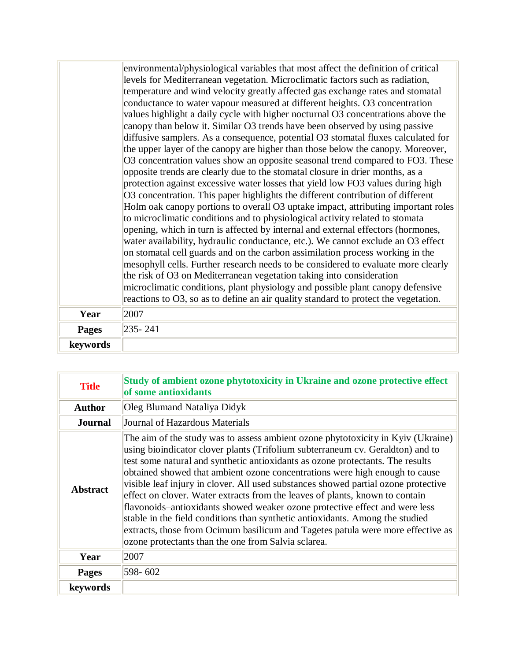|              | environmental/physiological variables that most affect the definition of critical<br>levels for Mediterranean vegetation. Microclimatic factors such as radiation,   |
|--------------|----------------------------------------------------------------------------------------------------------------------------------------------------------------------|
|              | temperature and wind velocity greatly affected gas exchange rates and stomatal                                                                                       |
|              | conductance to water vapour measured at different heights. O3 concentration                                                                                          |
|              | values highlight a daily cycle with higher nocturnal O3 concentrations above the                                                                                     |
|              | canopy than below it. Similar O3 trends have been observed by using passive                                                                                          |
|              | diffusive samplers. As a consequence, potential O3 stomatal fluxes calculated for                                                                                    |
|              | the upper layer of the canopy are higher than those below the canopy. Moreover,                                                                                      |
|              | O3 concentration values show an opposite seasonal trend compared to FO3. These                                                                                       |
|              | opposite trends are clearly due to the stomatal closure in drier months, as a                                                                                        |
|              | protection against excessive water losses that yield low FO3 values during high                                                                                      |
|              | O3 concentration. This paper highlights the different contribution of different<br>Holm oak canopy portions to overall O3 uptake impact, attributing important roles |
|              | to microclimatic conditions and to physiological activity related to stomata                                                                                         |
|              | opening, which in turn is affected by internal and external effectors (hormones,                                                                                     |
|              | water availability, hydraulic conductance, etc.). We cannot exclude an O3 effect                                                                                     |
|              | on stomatal cell guards and on the carbon assimilation process working in the                                                                                        |
|              | mesophyll cells. Further research needs to be considered to evaluate more clearly                                                                                    |
|              | the risk of O3 on Mediterranean vegetation taking into consideration                                                                                                 |
|              | microclimatic conditions, plant physiology and possible plant canopy defensive                                                                                       |
|              | reactions to O3, so as to define an air quality standard to protect the vegetation.                                                                                  |
| Year         | 2007                                                                                                                                                                 |
| <b>Pages</b> | $235 - 241$                                                                                                                                                          |
| keywords     |                                                                                                                                                                      |

| <b>Title</b>    | Study of ambient ozone phytotoxicity in Ukraine and ozone protective effect<br>of some antioxidants                                                                                                                                                                                                                                                                                                                                                                                                                                                                                                                                                                                                                                                                                                                 |
|-----------------|---------------------------------------------------------------------------------------------------------------------------------------------------------------------------------------------------------------------------------------------------------------------------------------------------------------------------------------------------------------------------------------------------------------------------------------------------------------------------------------------------------------------------------------------------------------------------------------------------------------------------------------------------------------------------------------------------------------------------------------------------------------------------------------------------------------------|
| <b>Author</b>   | <b>Oleg Blumand Nataliya Didyk</b>                                                                                                                                                                                                                                                                                                                                                                                                                                                                                                                                                                                                                                                                                                                                                                                  |
| <b>Journal</b>  | Journal of Hazardous Materials                                                                                                                                                                                                                                                                                                                                                                                                                                                                                                                                                                                                                                                                                                                                                                                      |
| <b>Abstract</b> | The aim of the study was to assess ambient ozone phytotoxicity in Kyiv (Ukraine)<br>using bioindicator clover plants (Trifolium subterraneum cv. Geraldton) and to<br>test some natural and synthetic antioxidants as ozone protectants. The results<br>obtained showed that ambient ozone concentrations were high enough to cause<br>visible leaf injury in clover. All used substances showed partial ozone protective<br>effect on clover. Water extracts from the leaves of plants, known to contain<br>flavonoids-antioxidants showed weaker ozone protective effect and were less<br>stable in the field conditions than synthetic antioxidants. Among the studied<br>extracts, those from Ocimum basilicum and Tagetes patula were more effective as<br>ozone protectants than the one from Salvia sclarea. |
| Year            | 2007                                                                                                                                                                                                                                                                                                                                                                                                                                                                                                                                                                                                                                                                                                                                                                                                                |
| <b>Pages</b>    | 598-602                                                                                                                                                                                                                                                                                                                                                                                                                                                                                                                                                                                                                                                                                                                                                                                                             |
| keywords        |                                                                                                                                                                                                                                                                                                                                                                                                                                                                                                                                                                                                                                                                                                                                                                                                                     |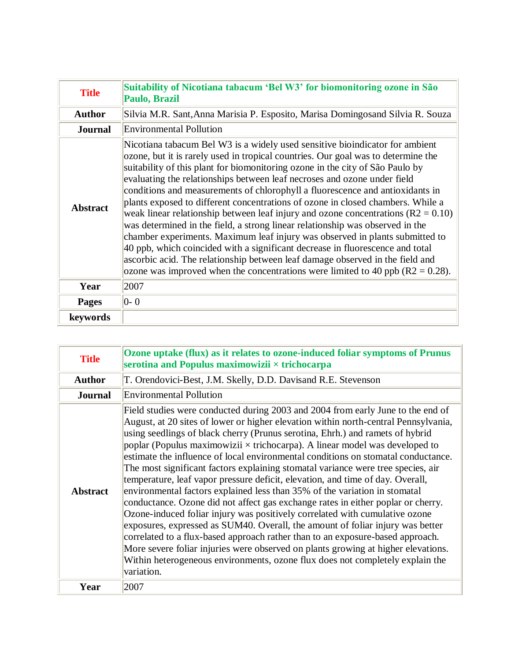| <b>Title</b>    | Suitability of Nicotiana tabacum 'Bel W3' for biomonitoring ozone in São<br>Paulo, Brazil                                                                                                                                                                                                                                                                                                                                                                                                                                                                                                                                                                                                                                                                                                                                                                                                                                                                                                                            |
|-----------------|----------------------------------------------------------------------------------------------------------------------------------------------------------------------------------------------------------------------------------------------------------------------------------------------------------------------------------------------------------------------------------------------------------------------------------------------------------------------------------------------------------------------------------------------------------------------------------------------------------------------------------------------------------------------------------------------------------------------------------------------------------------------------------------------------------------------------------------------------------------------------------------------------------------------------------------------------------------------------------------------------------------------|
| <b>Author</b>   | Silvia M.R. Sant, Anna Marisia P. Esposito, Marisa Domingosand Silvia R. Souza                                                                                                                                                                                                                                                                                                                                                                                                                                                                                                                                                                                                                                                                                                                                                                                                                                                                                                                                       |
| <b>Journal</b>  | Environmental Pollution                                                                                                                                                                                                                                                                                                                                                                                                                                                                                                                                                                                                                                                                                                                                                                                                                                                                                                                                                                                              |
| <b>Abstract</b> | Nicotiana tabacum Bel W3 is a widely used sensitive bioindicator for ambient<br>ozone, but it is rarely used in tropical countries. Our goal was to determine the<br>suitability of this plant for biomonitoring ozone in the city of São Paulo by<br>evaluating the relationships between leaf necroses and ozone under field<br>conditions and measurements of chlorophyll a fluorescence and antioxidants in<br>plants exposed to different concentrations of ozone in closed chambers. While a<br>weak linear relationship between leaf injury and ozone concentrations ( $R2 = 0.10$ )<br>was determined in the field, a strong linear relationship was observed in the<br>chamber experiments. Maximum leaf injury was observed in plants submitted to<br>40 ppb, which coincided with a significant decrease in fluorescence and total<br>ascorbic acid. The relationship between leaf damage observed in the field and<br>ozone was improved when the concentrations were limited to 40 ppb ( $R2 = 0.28$ ). |
| Year            | 2007                                                                                                                                                                                                                                                                                                                                                                                                                                                                                                                                                                                                                                                                                                                                                                                                                                                                                                                                                                                                                 |
| <b>Pages</b>    | $ 0-0 $                                                                                                                                                                                                                                                                                                                                                                                                                                                                                                                                                                                                                                                                                                                                                                                                                                                                                                                                                                                                              |
| keywords        |                                                                                                                                                                                                                                                                                                                                                                                                                                                                                                                                                                                                                                                                                                                                                                                                                                                                                                                                                                                                                      |

| <b>Title</b>    | Ozone uptake (flux) as it relates to ozone-induced foliar symptoms of Prunus<br>serotina and Populus maximowizii $\times$ trichocarpa                                                                                                                                                                                                                                                                                                                                                                                                                                                                                                                                                                                                                                                                                                                                                                                                                                                                                                                                                                                                                                                                             |
|-----------------|-------------------------------------------------------------------------------------------------------------------------------------------------------------------------------------------------------------------------------------------------------------------------------------------------------------------------------------------------------------------------------------------------------------------------------------------------------------------------------------------------------------------------------------------------------------------------------------------------------------------------------------------------------------------------------------------------------------------------------------------------------------------------------------------------------------------------------------------------------------------------------------------------------------------------------------------------------------------------------------------------------------------------------------------------------------------------------------------------------------------------------------------------------------------------------------------------------------------|
| <b>Author</b>   | T. Orendovici-Best, J.M. Skelly, D.D. Davisand R.E. Stevenson                                                                                                                                                                                                                                                                                                                                                                                                                                                                                                                                                                                                                                                                                                                                                                                                                                                                                                                                                                                                                                                                                                                                                     |
| <b>Journal</b>  | Environmental Pollution                                                                                                                                                                                                                                                                                                                                                                                                                                                                                                                                                                                                                                                                                                                                                                                                                                                                                                                                                                                                                                                                                                                                                                                           |
| <b>Abstract</b> | Field studies were conducted during 2003 and 2004 from early June to the end of<br>August, at 20 sites of lower or higher elevation within north-central Pennsylvania,<br>using seedlings of black cherry (Prunus serotina, Ehrh.) and ramets of hybrid<br>poplar (Populus maximowizii $\times$ trichocarpa). A linear model was developed to<br>estimate the influence of local environmental conditions on stomatal conductance.<br>The most significant factors explaining stomatal variance were tree species, air<br>temperature, leaf vapor pressure deficit, elevation, and time of day. Overall,<br>environmental factors explained less than 35% of the variation in stomatal<br>conductance. Ozone did not affect gas exchange rates in either poplar or cherry.<br>Ozone-induced foliar injury was positively correlated with cumulative ozone<br>exposures, expressed as SUM40. Overall, the amount of foliar injury was better<br>correlated to a flux-based approach rather than to an exposure-based approach.<br>More severe foliar injuries were observed on plants growing at higher elevations.<br>Within heterogeneous environments, ozone flux does not completely explain the<br>variation. |
| Year            | 2007                                                                                                                                                                                                                                                                                                                                                                                                                                                                                                                                                                                                                                                                                                                                                                                                                                                                                                                                                                                                                                                                                                                                                                                                              |